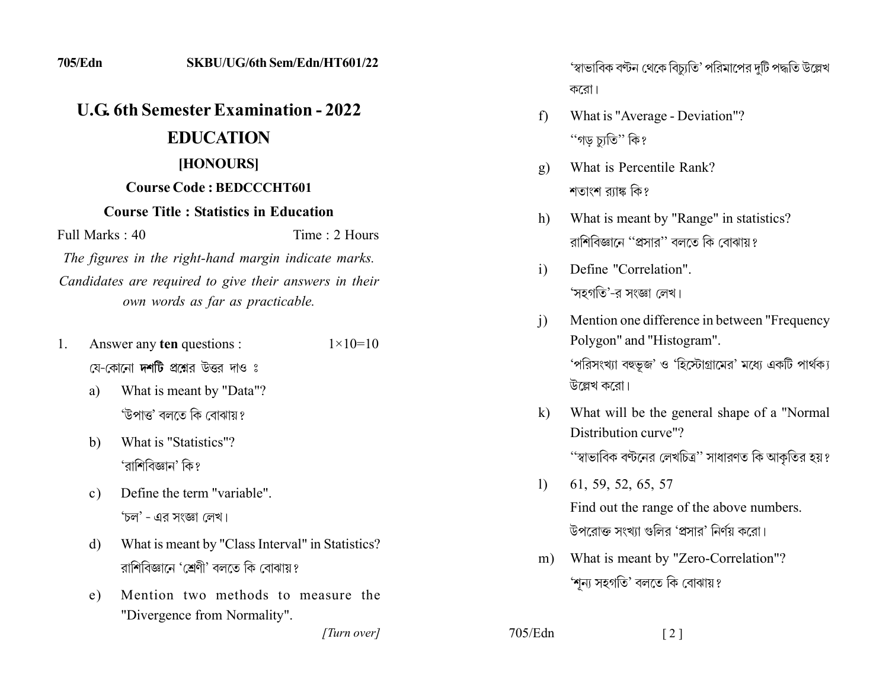# *<u>U.G.</u>* **6th Semester Examination - 2022**

## **EDUCATION**

### [HONOURS]

#### **Course Code: BEDCCCHT601**

#### **Course Title : Statistics in Education**

 $Full Marks: 40$  Time  $\cdot$  2 Hours

The figures in the right-hand margin indicate marks. Candidates are required to give their answers in their *own words as far as practicable.* 

- 1. Answer any **ten** questions :  $1 \times 10 = 10$ য়ে-কোনো **দশটি** প্রশ্নের উত্তর দাও ঃ
	- a) What is meant by "Data"? 'উপাত্ত' বলতে কি বোঝায় ?
	- b) What is "Statistics"? 'বাশিবিজ্ঞান' কি ?
	- c) Define the term "variable". 'চল' - এর সংজ্ঞা লেখ।
	- d) What is meant by "Class Interval" in Statistics? রাশিবিজ্ঞানে 'শ্রেণী' বলতে কি বোঝায়?
	- e) Mention two methods to measure the "Divergence from Normality".

*]]]]]]]]]]]*

'স্বাভাবিক বণ্টন থেকে বিচ্যুতি' পরিমাপের দুটি পদ্ধতি উল্লেখ করো।

- f) What is "Average Deviation"? ''গড চাতি'' কি?
- g) What is Percentile Rank? শতাংশ ব্যাঙ্ক কি?
- h) What is meant by "Range" in statistics? রাশিবিজ্ঞানে ''প্রসার'' বলতে কি বোঝায়?
- i) Define "Correlation". 'সহগতি'-র সংজ্ঞা লেখ।
- i) Mention one difference in between "Frequency" Polygon" and "Histogram". 'পরিসংখ্যা বহুভূজ' ও 'হিস্টোগ্রামের' মধ্যে একটি পার্থক্য উল্লেখ করো।
- k) What will be the general shape of a "Normal" Distribution curve"? ''স্বাভাবিক বণ্টনের লেখচিত্র'' সাধারণত কি আকৃতির হয়?
- $1)$  61, 59, 52, 65, 57 Find out the range of the above numbers. উপরোক্ত সংখ্যা গুলির 'প্রসার' নির্ণয় করো।
- m) What is meant by "Zero-Correlation"? 'শূন্য সহগতি' বলতে কি বোঝায়?

 $705/Edn$  [2]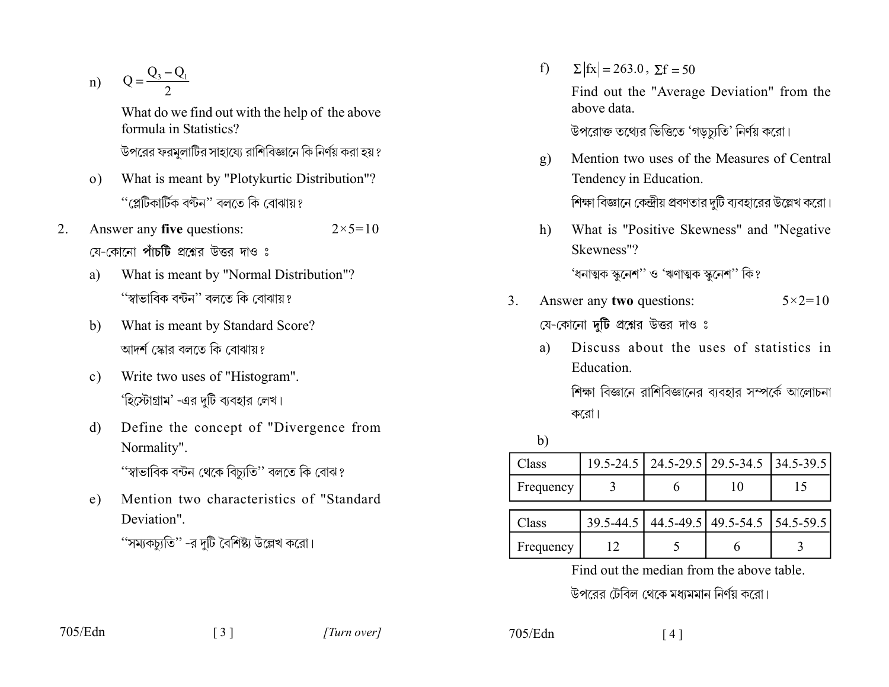n)  $Q = \frac{Q_3 - Q_1}{2}$ 

What do we find out with the help of the above formula in Statistics?

উপরের ফরমূলাটির সাহায্যে রাশিবিজ্ঞানে কি নির্ণয় করা হয় ?

- What is meant by "Plotykurtic Distribution"?  $\Omega$ ) ''প্লেটিকাৰ্টিক বণ্টন'' বলতে কি বোঝায়?
- Answer any five questions:  $2<sub>1</sub>$  $2 \times 5 = 10$ য়ে–কোনো **পাঁচটি** প্রশ্নের উত্তর দাও ঃ
	- What is meant by "Normal Distribution"? a) ''স্বাভাবিক বন্টন'' বলতে কি বোঝায়?
	- What is meant by Standard Score?  $b)$ আদর্শ স্কোর বলতে কি বোঝায়?
	- Write two uses of "Histogram".  $\mathbf{c}$ ) 'হিস্টোগ্রাম' -এর দটি ব্যবহার লেখ।
	- Define the concept of "Divergence from d) Normality". ''স্বাভাবিক বন্টন থেকে বিচ্যুতি'' বলতে কি বোঝ?

Mention two characteristics of "Standard"  $e)$ Deviation"

 $f$  $\Sigma |fx| = 263.0$ ,  $\Sigma f = 50$ Find out the "Average Deviation" from the above data উপরোক্ত তথ্যের ভিত্তিতে 'গডচ্যতি' নির্ণয় করো।

- Mention two uses of the Measures of Central  $g)$ Tendency in Education. শিক্ষা বিজ্ঞানে কেন্দ্রীয় প্রবণতার দুটি ব্যবহারের উল্লেখ করো।
- What is "Positive Skewness" and "Negative  $h)$ Skewness"?

'ধনাত্মক স্কুনেশ'' ও 'ঋণাত্মক স্কুনেশ'' কি?

- Answer any two questions:  $\mathcal{E}$  $5 \times 2 = 10$ যে-কোনো দুটি প্রশ্নের উত্তর দাও ঃ
	- Discuss about the uses of statistics in a) Education.

শিক্ষা বিজ্ঞানে রাশিবিজ্ঞানের ব্যবহার সম্পর্কে আলোচনা করো।

 $b)$ 

| Class     |    | 19.5-24.5   24.5-29.5   29.5-34.5   34.5-39.5 |  |
|-----------|----|-----------------------------------------------|--|
| Frequency |    |                                               |  |
| Class     |    | 39.5-44.5   44.5-49.5   49.5-54.5   54.5-59.5 |  |
|           |    |                                               |  |
| Frequency | 12 |                                               |  |

Find out the median from the above table

উপরের টেবিল থেকে মধ্যমমান নির্ণয় করো।

 $705/Edn$ 

<sup>&#</sup>x27;'সম্যকচ্যুতি'' -র দুটি বৈশিষ্ট্য উল্লেখ করো।